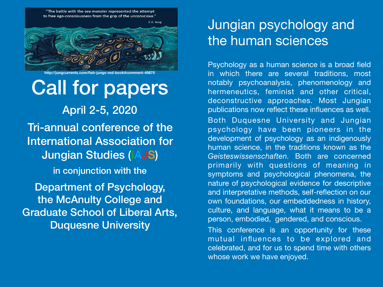"The battle with the sea monster represented the attempt to free ego-consciousness from the grip of the unconscious."



**http://jungcurrents.com/fish-jungs-red-book#comment-49875**

## Call for papers

April 2-5, 2020 Tri-annual conference of the International Association for Jungian Studies (IAJS) in conjunction with the Department of Psychology, the McAnulty College and Graduate School of Liberal Arts, Duquesne University

## Jungian psychology and the human sciences

Psychology as a human science is a broad field in which there are several traditions, most notably psychoanalysis, phenomenology and hermeneutics, feminist and other critical, deconstructive approaches. Most Jungian publications now reflect these influences as well. Both Duquesne University and Jungian psychology have been pioneers in the development of psychology as an indigenously human science, in the traditions known as the *Geisteswissenschaften.* Both are concerned primarily with questions of meaning in symptoms and psychological phenomena, the nature of psychological evidence for descriptive and interpretative methods, self-reflection on our own foundations, our embeddedness in history, culture, and language, what it means to be a person, embodied, gendered, and conscious.

This conference is an opportunity for these mutual influences to be explored and celebrated, and for us to spend time with others whose work we have enjoyed.